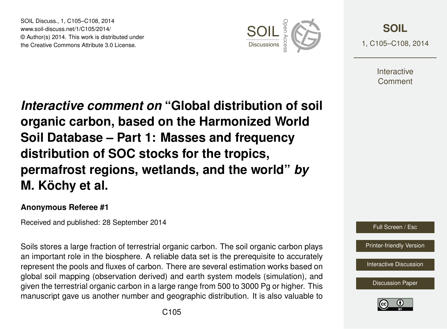SOIL Discuss., 1, C105–C108, 2014 www.soil-discuss.net/1/C105/2014/ © Author(s) 2014. This work is distributed under SOIL Discuss., 1, C105–C108, 2014<br>www.soil-discuss.net/1/C105/2014/<br>
© Author(s) 2014. This work is distributed under<br>
the Creative Commons Attribute 3.0 License.



**[SOIL](http://www.soil-discuss.net)** 1, C105–C108, 2014

> **Interactive** Comment

*Interactive comment on* **"Global distribution of soil organic carbon, based on the Harmonized World Soil Database – Part 1: Masses and frequency distribution of SOC stocks for the tropics, permafrost regions, wetlands, and the world"** *by* **M. Köchy et al.**

## **Anonymous Referee #1**

Received and published: 28 September 2014

Soils stores a large fraction of terrestrial organic carbon. The soil organic carbon plays an important role in the biosphere. A reliable data set is the prerequisite to accurately represent the pools and fluxes of carbon. There are several estimation works based on global soil mapping (observation derived) and earth system models (simulation), and given the terrestrial organic carbon in a large range from 500 to 3000 Pg or higher. This manuscript gave us another number and geographic distribution. It is also valuable to



[Printer-friendly Version](http://www.soil-discuss.net/1/C105/2014/soild-1-C105-2014-print.pdf)

[Interactive Discussion](http://www.soil-discuss.net/1/327/2014/soild-1-327-2014-discussion.html)

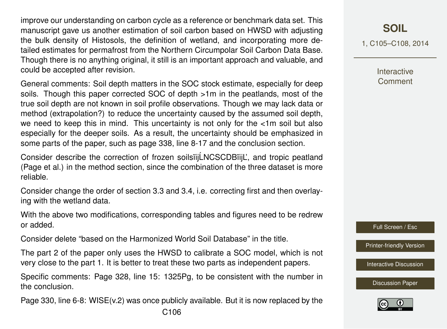improve our understanding on carbon cycle as a reference or benchmark data set. This manuscript gave us another estimation of soil carbon based on HWSD with adjusting the bulk density of Histosols, the definition of wetland, and incorporating more detailed estimates for permafrost from the Northern Circumpolar Soil Carbon Data Base. Though there is no anything original, it still is an important approach and valuable, and could be accepted after revision.

General comments: Soil depth matters in the SOC stock estimate, especially for deep soils. Though this paper corrected SOC of depth >1m in the peatlands, most of the true soil depth are not known in soil profile observations. Though we may lack data or method (extrapolation?) to reduce the uncertainty caused by the assumed soil depth, we need to keep this in mind. This uncertainty is not only for the <1m soil but also especially for the deeper soils. As a result, the uncertainty should be emphasized in some parts of the paper, such as page 338, line 8-17 and the conclusion section.

Consider describe the correction of frozen soilsiij LNCSCDBiijL', and tropic peatland (Page et al.) in the method section, since the combination of the three dataset is more reliable.

Consider change the order of section 3.3 and 3.4, i.e. correcting first and then overlaying with the wetland data.

With the above two modifications, corresponding tables and figures need to be redrew or added.

Consider delete "based on the Harmonized World Soil Database" in the title.

The part 2 of the paper only uses the HWSD to calibrate a SOC model, which is not very close to the part 1. It is better to treat these two parts as independent papers.

Specific comments: Page 328, line 15: 1325Pg, to be consistent with the number in the conclusion.

Page 330, line 6-8: WISE(v.2) was once publicly available. But it is now replaced by the

1, C105–C108, 2014

**Interactive Comment** 

Full Screen / Esc

[Printer-friendly Version](http://www.soil-discuss.net/1/C105/2014/soild-1-C105-2014-print.pdf)

[Interactive Discussion](http://www.soil-discuss.net/1/327/2014/soild-1-327-2014-discussion.html)

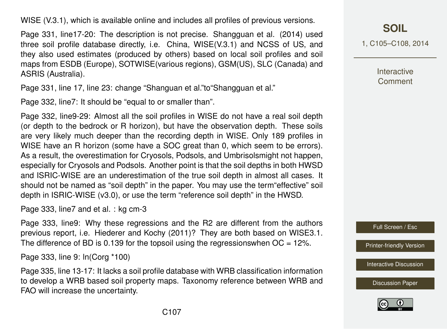WISE (V.3.1), which is available online and includes all profiles of previous versions.

Page 331, line17-20: The description is not precise. Shangguan et al. (2014) used three soil profile database directly, i.e. China, WISE(V.3.1) and NCSS of US, and they also used estimates (produced by others) based on local soil profiles and soil maps from ESDB (Europe), SOTWISE(various regions), GSM(US), SLC (Canada) and ASRIS (Australia).

Page 331, line 17, line 23: change "Shanguan et al."to"Shangguan et al."

Page 332, line7: It should be "equal to or smaller than".

Page 332, line9-29: Almost all the soil profiles in WISE do not have a real soil depth (or depth to the bedrock or R horizon), but have the observation depth. These soils are very likely much deeper than the recording depth in WISE. Only 189 profiles in WISE have an R horizon (some have a SOC great than 0, which seem to be errors). As a result, the overestimation for Cryosols, Podsols, and Umbrisolsmight not happen, especially for Cryosols and Podsols. Another point is that the soil depths in both HWSD and ISRIC-WISE are an underestimation of the true soil depth in almost all cases. It should not be named as "soil depth" in the paper. You may use the term"effective" soil depth in ISRIC-WISE (v3.0), or use the term "reference soil depth" in the HWSD.

Page 333, line7 and et al. : kg cm-3

Page 333, line9: Why these regressions and the R2 are different from the authors previous report, i.e. Hiederer and Kochy (2011)? They are both based on WISE3.1. The difference of BD is 0.139 for the topsoil using the regressions when  $OC = 12\%$ .

Page 333, line 9: ln(Corg \*100)

Page 335, line 13-17: It lacks a soil profile database with WRB classification information to develop a WRB based soil property maps. Taxonomy reference between WRB and FAO will increase the uncertainty.

**[SOIL](http://www.soil-discuss.net)**

1, C105–C108, 2014

**Interactive Comment** 

Full Screen / Esc

[Printer-friendly Version](http://www.soil-discuss.net/1/C105/2014/soild-1-C105-2014-print.pdf)

[Interactive Discussion](http://www.soil-discuss.net/1/327/2014/soild-1-327-2014-discussion.html)